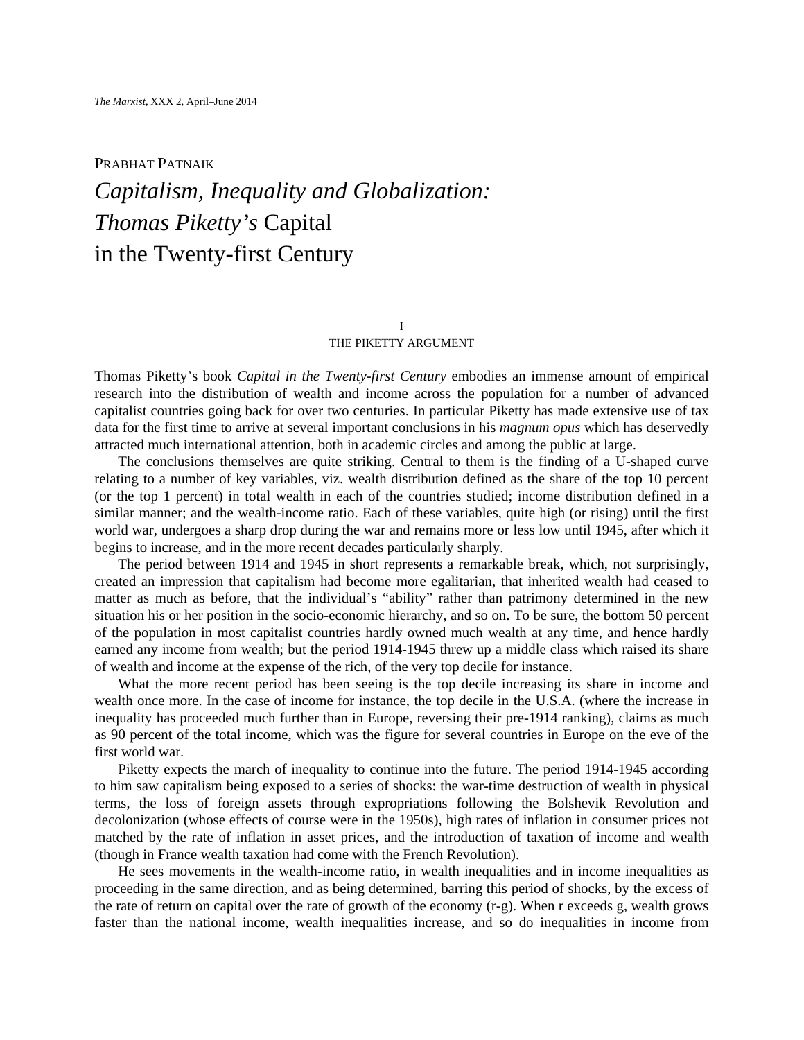PRABHAT PATNAIK

# *Capitalism, Inequality and Globalization: Thomas Piketty's* Capital in the Twenty-first Century

## I

### THE PIKETTY ARGUMENT

Thomas Piketty's book *Capital in the Twenty-first Century* embodies an immense amount of empirical research into the distribution of wealth and income across the population for a number of advanced capitalist countries going back for over two centuries. In particular Piketty has made extensive use of tax data for the first time to arrive at several important conclusions in his *magnum opus* which has deservedly attracted much international attention, both in academic circles and among the public at large.

The conclusions themselves are quite striking. Central to them is the finding of a U-shaped curve relating to a number of key variables, viz. wealth distribution defined as the share of the top 10 percent (or the top 1 percent) in total wealth in each of the countries studied; income distribution defined in a similar manner; and the wealth-income ratio. Each of these variables, quite high (or rising) until the first world war, undergoes a sharp drop during the war and remains more or less low until 1945, after which it begins to increase, and in the more recent decades particularly sharply.

The period between 1914 and 1945 in short represents a remarkable break, which, not surprisingly, created an impression that capitalism had become more egalitarian, that inherited wealth had ceased to matter as much as before, that the individual's "ability" rather than patrimony determined in the new situation his or her position in the socio-economic hierarchy, and so on. To be sure, the bottom 50 percent of the population in most capitalist countries hardly owned much wealth at any time, and hence hardly earned any income from wealth; but the period 1914-1945 threw up a middle class which raised its share of wealth and income at the expense of the rich, of the very top decile for instance.

What the more recent period has been seeing is the top decile increasing its share in income and wealth once more. In the case of income for instance, the top decile in the U.S.A. (where the increase in inequality has proceeded much further than in Europe, reversing their pre-1914 ranking), claims as much as 90 percent of the total income, which was the figure for several countries in Europe on the eve of the first world war.

Piketty expects the march of inequality to continue into the future. The period 1914-1945 according to him saw capitalism being exposed to a series of shocks: the war-time destruction of wealth in physical terms, the loss of foreign assets through expropriations following the Bolshevik Revolution and decolonization (whose effects of course were in the 1950s), high rates of inflation in consumer prices not matched by the rate of inflation in asset prices, and the introduction of taxation of income and wealth (though in France wealth taxation had come with the French Revolution).

He sees movements in the wealth-income ratio, in wealth inequalities and in income inequalities as proceeding in the same direction, and as being determined, barring this period of shocks, by the excess of the rate of return on capital over the rate of growth of the economy (r-g). When r exceeds g, wealth grows faster than the national income, wealth inequalities increase, and so do inequalities in income from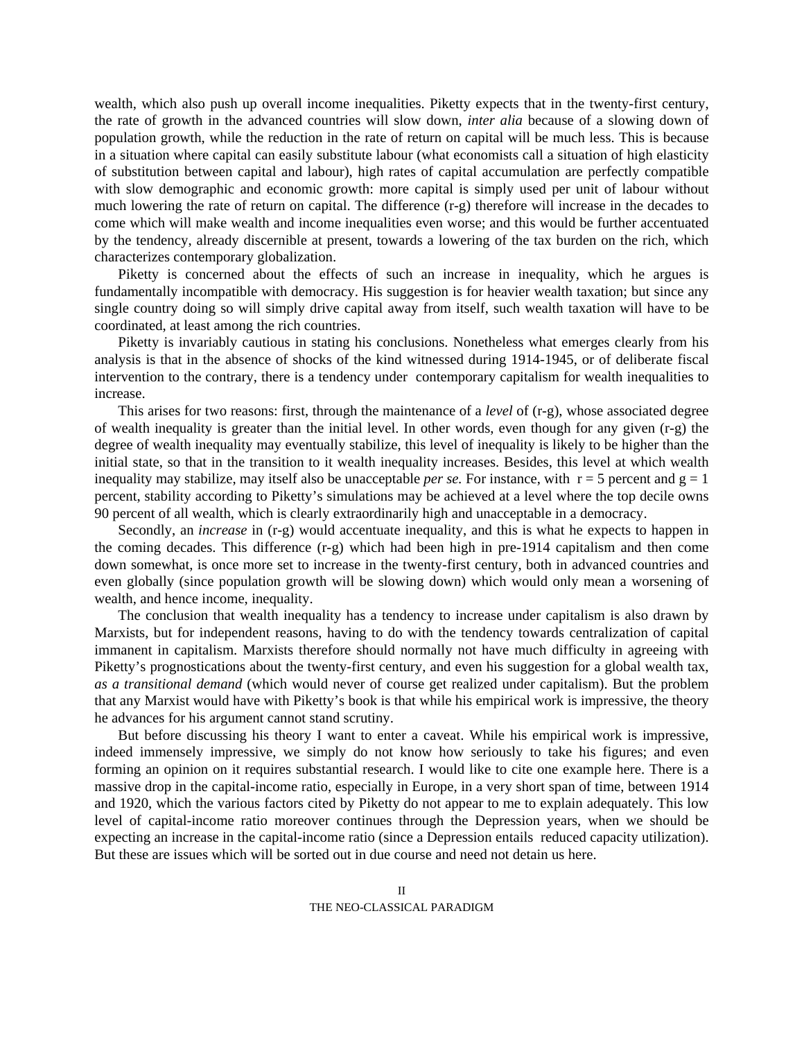wealth, which also push up overall income inequalities. Piketty expects that in the twenty-first century, the rate of growth in the advanced countries will slow down, *inter alia* because of a slowing down of population growth, while the reduction in the rate of return on capital will be much less. This is because in a situation where capital can easily substitute labour (what economists call a situation of high elasticity of substitution between capital and labour), high rates of capital accumulation are perfectly compatible with slow demographic and economic growth: more capital is simply used per unit of labour without much lowering the rate of return on capital. The difference (r-g) therefore will increase in the decades to come which will make wealth and income inequalities even worse; and this would be further accentuated by the tendency, already discernible at present, towards a lowering of the tax burden on the rich, which characterizes contemporary globalization.

Piketty is concerned about the effects of such an increase in inequality, which he argues is fundamentally incompatible with democracy. His suggestion is for heavier wealth taxation; but since any single country doing so will simply drive capital away from itself, such wealth taxation will have to be coordinated, at least among the rich countries.

Piketty is invariably cautious in stating his conclusions. Nonetheless what emerges clearly from his analysis is that in the absence of shocks of the kind witnessed during 1914-1945, or of deliberate fiscal intervention to the contrary, there is a tendency under contemporary capitalism for wealth inequalities to increase.

This arises for two reasons: first, through the maintenance of a *level* of (r-g), whose associated degree of wealth inequality is greater than the initial level. In other words, even though for any given (r-g) the degree of wealth inequality may eventually stabilize, this level of inequality is likely to be higher than the initial state, so that in the transition to it wealth inequality increases. Besides, this level at which wealth inequality may stabilize, may itself also be unacceptable *per se*. For instance, with  $r = 5$  percent and  $g = 1$ percent, stability according to Piketty's simulations may be achieved at a level where the top decile owns 90 percent of all wealth, which is clearly extraordinarily high and unacceptable in a democracy.

Secondly, an *increase* in (r-g) would accentuate inequality, and this is what he expects to happen in the coming decades. This difference (r-g) which had been high in pre-1914 capitalism and then come down somewhat, is once more set to increase in the twenty-first century, both in advanced countries and even globally (since population growth will be slowing down) which would only mean a worsening of wealth, and hence income, inequality.

The conclusion that wealth inequality has a tendency to increase under capitalism is also drawn by Marxists, but for independent reasons, having to do with the tendency towards centralization of capital immanent in capitalism. Marxists therefore should normally not have much difficulty in agreeing with Piketty's prognostications about the twenty-first century, and even his suggestion for a global wealth tax, *as a transitional demand* (which would never of course get realized under capitalism). But the problem that any Marxist would have with Piketty's book is that while his empirical work is impressive, the theory he advances for his argument cannot stand scrutiny.

But before discussing his theory I want to enter a caveat. While his empirical work is impressive, indeed immensely impressive, we simply do not know how seriously to take his figures; and even forming an opinion on it requires substantial research. I would like to cite one example here. There is a massive drop in the capital-income ratio, especially in Europe, in a very short span of time, between 1914 and 1920, which the various factors cited by Piketty do not appear to me to explain adequately. This low level of capital-income ratio moreover continues through the Depression years, when we should be expecting an increase in the capital-income ratio (since a Depression entails reduced capacity utilization). But these are issues which will be sorted out in due course and need not detain us here.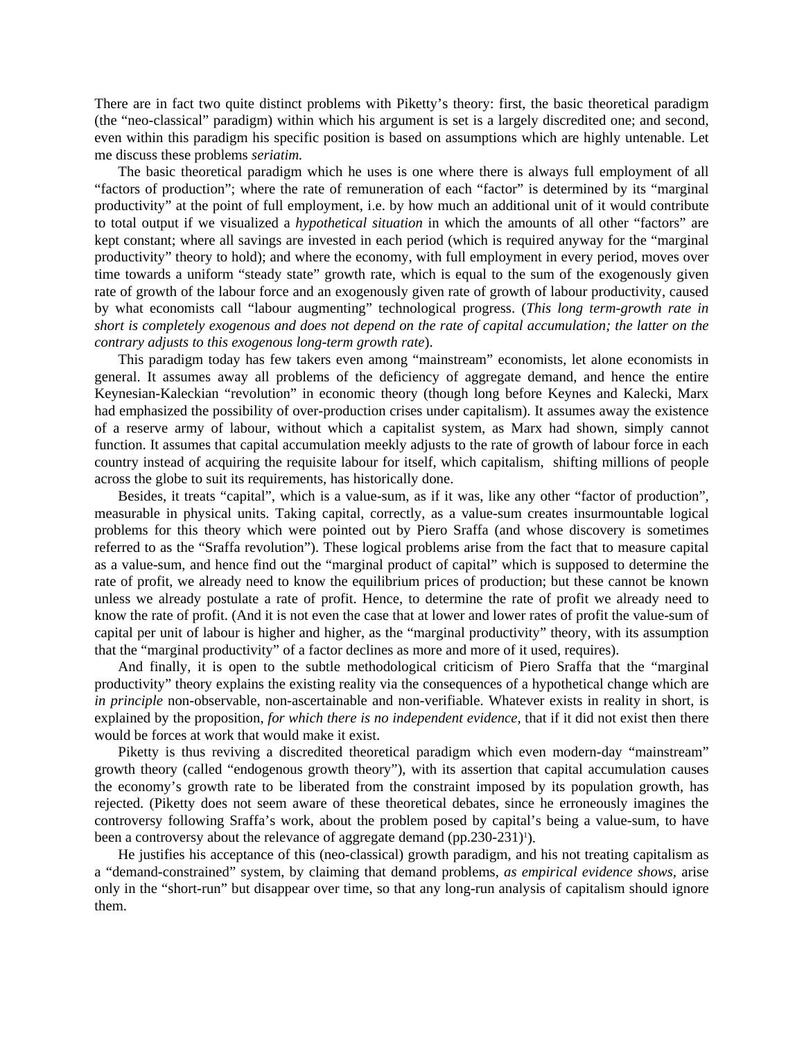There are in fact two quite distinct problems with Piketty's theory: first, the basic theoretical paradigm (the "neo-classical" paradigm) within which his argument is set is a largely discredited one; and second, even within this paradigm his specific position is based on assumptions which are highly untenable. Let me discuss these problems *seriatim.*

The basic theoretical paradigm which he uses is one where there is always full employment of all "factors of production"; where the rate of remuneration of each "factor" is determined by its "marginal productivity" at the point of full employment, i.e. by how much an additional unit of it would contribute to total output if we visualized a *hypothetical situation* in which the amounts of all other "factors" are kept constant; where all savings are invested in each period (which is required anyway for the "marginal productivity" theory to hold); and where the economy, with full employment in every period, moves over time towards a uniform "steady state" growth rate, which is equal to the sum of the exogenously given rate of growth of the labour force and an exogenously given rate of growth of labour productivity, caused by what economists call "labour augmenting" technological progress. (*This long term-growth rate in short is completely exogenous and does not depend on the rate of capital accumulation; the latter on the contrary adjusts to this exogenous long-term growth rate*).

This paradigm today has few takers even among "mainstream" economists, let alone economists in general. It assumes away all problems of the deficiency of aggregate demand, and hence the entire Keynesian-Kaleckian "revolution" in economic theory (though long before Keynes and Kalecki, Marx had emphasized the possibility of over-production crises under capitalism). It assumes away the existence of a reserve army of labour, without which a capitalist system, as Marx had shown, simply cannot function. It assumes that capital accumulation meekly adjusts to the rate of growth of labour force in each country instead of acquiring the requisite labour for itself, which capitalism, shifting millions of people across the globe to suit its requirements, has historically done.

Besides, it treats "capital", which is a value-sum, as if it was, like any other "factor of production", measurable in physical units. Taking capital, correctly, as a value-sum creates insurmountable logical problems for this theory which were pointed out by Piero Sraffa (and whose discovery is sometimes referred to as the "Sraffa revolution"). These logical problems arise from the fact that to measure capital as a value-sum, and hence find out the "marginal product of capital" which is supposed to determine the rate of profit, we already need to know the equilibrium prices of production; but these cannot be known unless we already postulate a rate of profit. Hence, to determine the rate of profit we already need to know the rate of profit. (And it is not even the case that at lower and lower rates of profit the value-sum of capital per unit of labour is higher and higher, as the "marginal productivity" theory, with its assumption that the "marginal productivity" of a factor declines as more and more of it used, requires).

And finally, it is open to the subtle methodological criticism of Piero Sraffa that the "marginal productivity" theory explains the existing reality via the consequences of a hypothetical change which are *in principle* non-observable, non-ascertainable and non-verifiable. Whatever exists in reality in short, is explained by the proposition, *for which there is no independent evidence,* that if it did not exist then there would be forces at work that would make it exist.

Piketty is thus reviving a discredited theoretical paradigm which even modern-day "mainstream" growth theory (called "endogenous growth theory"), with its assertion that capital accumulation causes the economy's growth rate to be liberated from the constraint imposed by its population growth, has rejected. (Piketty does not seem aware of these theoretical debates, since he erroneously imagines the controversy following Sraffa's work, about the problem posed by capital's being a value-sum, to have been a controversy about the relevance of aggregate demand (pp.230-231)<sup>1</sup>).

He justifies his acceptance of this (neo-classical) growth paradigm, and his not treating capitalism as a "demand-constrained" system, by claiming that demand problems, *as empirical evidence shows,* arise only in the "short-run" but disappear over time, so that any long-run analysis of capitalism should ignore them.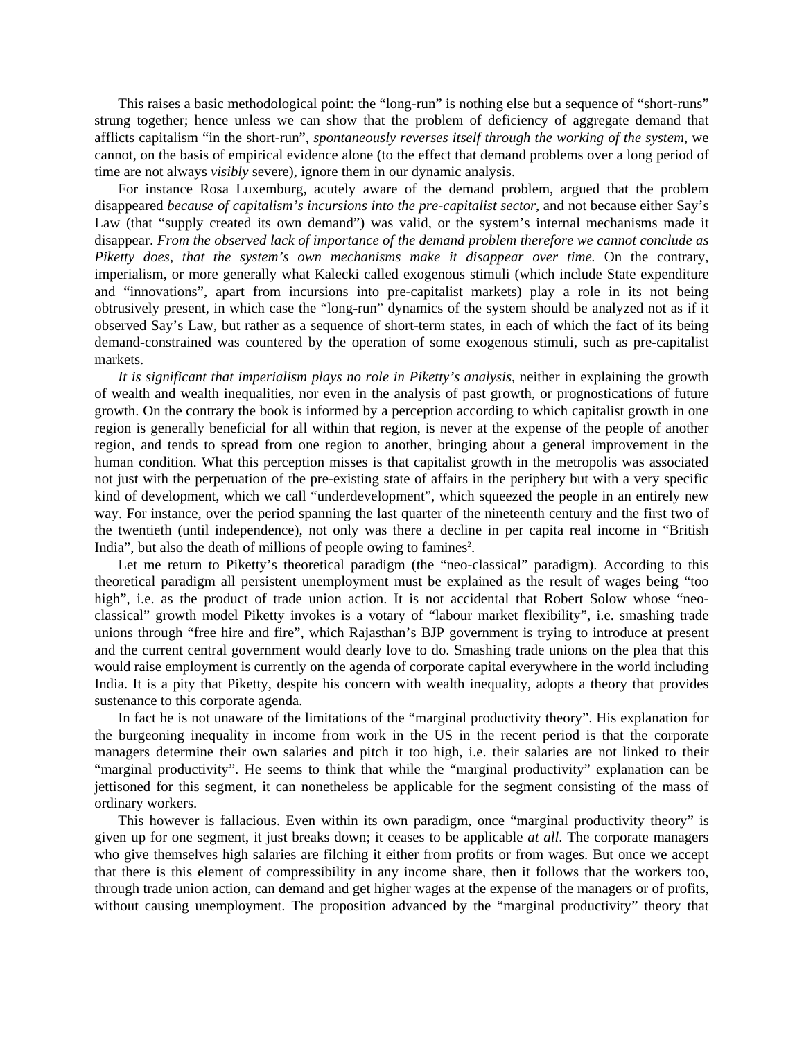This raises a basic methodological point: the "long-run" is nothing else but a sequence of "short-runs" strung together; hence unless we can show that the problem of deficiency of aggregate demand that afflicts capitalism "in the short-run", *spontaneously reverses itself through the working of the system*, we cannot, on the basis of empirical evidence alone (to the effect that demand problems over a long period of time are not always *visibly* severe), ignore them in our dynamic analysis.

For instance Rosa Luxemburg, acutely aware of the demand problem, argued that the problem disappeared *because of capitalism's incursions into the pre-capitalist sector*, and not because either Say's Law (that "supply created its own demand") was valid, or the system's internal mechanisms made it disappear. *From the observed lack of importance of the demand problem therefore we cannot conclude as Piketty does, that the system's own mechanisms make it disappear over time.* On the contrary, imperialism, or more generally what Kalecki called exogenous stimuli (which include State expenditure and "innovations", apart from incursions into pre-capitalist markets) play a role in its not being obtrusively present, in which case the "long-run" dynamics of the system should be analyzed not as if it observed Say's Law, but rather as a sequence of short-term states, in each of which the fact of its being demand-constrained was countered by the operation of some exogenous stimuli, such as pre-capitalist markets.

*It is significant that imperialism plays no role in Piketty's analysis*, neither in explaining the growth of wealth and wealth inequalities, nor even in the analysis of past growth, or prognostications of future growth. On the contrary the book is informed by a perception according to which capitalist growth in one region is generally beneficial for all within that region, is never at the expense of the people of another region, and tends to spread from one region to another, bringing about a general improvement in the human condition. What this perception misses is that capitalist growth in the metropolis was associated not just with the perpetuation of the pre-existing state of affairs in the periphery but with a very specific kind of development, which we call "underdevelopment", which squeezed the people in an entirely new way. For instance, over the period spanning the last quarter of the nineteenth century and the first two of the twentieth (until independence), not only was there a decline in per capita real income in "British India", but also the death of millions of people owing to famines<sup>2</sup>.

Let me return to Piketty's theoretical paradigm (the "neo-classical" paradigm). According to this theoretical paradigm all persistent unemployment must be explained as the result of wages being "too high", i.e. as the product of trade union action. It is not accidental that Robert Solow whose "neoclassical" growth model Piketty invokes is a votary of "labour market flexibility", i.e. smashing trade unions through "free hire and fire", which Rajasthan's BJP government is trying to introduce at present and the current central government would dearly love to do. Smashing trade unions on the plea that this would raise employment is currently on the agenda of corporate capital everywhere in the world including India. It is a pity that Piketty, despite his concern with wealth inequality, adopts a theory that provides sustenance to this corporate agenda.

In fact he is not unaware of the limitations of the "marginal productivity theory". His explanation for the burgeoning inequality in income from work in the US in the recent period is that the corporate managers determine their own salaries and pitch it too high, i.e. their salaries are not linked to their "marginal productivity". He seems to think that while the "marginal productivity" explanation can be jettisoned for this segment, it can nonetheless be applicable for the segment consisting of the mass of ordinary workers.

This however is fallacious. Even within its own paradigm, once "marginal productivity theory" is given up for one segment, it just breaks down; it ceases to be applicable *at all*. The corporate managers who give themselves high salaries are filching it either from profits or from wages. But once we accept that there is this element of compressibility in any income share, then it follows that the workers too, through trade union action, can demand and get higher wages at the expense of the managers or of profits, without causing unemployment. The proposition advanced by the "marginal productivity" theory that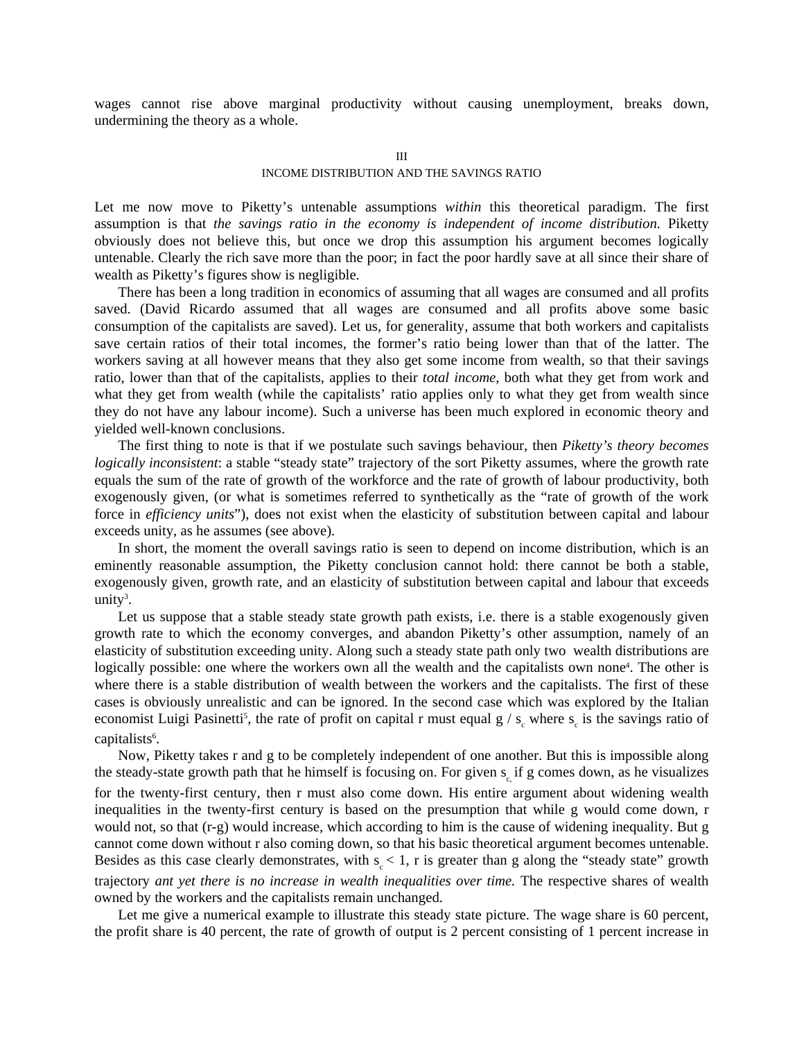wages cannot rise above marginal productivity without causing unemployment, breaks down, undermining the theory as a whole.

# III INCOME DISTRIBUTION AND THE SAVINGS RATIO

Let me now move to Piketty's untenable assumptions *within* this theoretical paradigm. The first assumption is that *the savings ratio in the economy is independent of income distribution.* Piketty obviously does not believe this, but once we drop this assumption his argument becomes logically untenable. Clearly the rich save more than the poor; in fact the poor hardly save at all since their share of wealth as Piketty's figures show is negligible.

There has been a long tradition in economics of assuming that all wages are consumed and all profits saved. (David Ricardo assumed that all wages are consumed and all profits above some basic consumption of the capitalists are saved). Let us, for generality, assume that both workers and capitalists save certain ratios of their total incomes, the former's ratio being lower than that of the latter. The workers saving at all however means that they also get some income from wealth, so that their savings ratio, lower than that of the capitalists, applies to their *total income*, both what they get from work and what they get from wealth (while the capitalists' ratio applies only to what they get from wealth since they do not have any labour income). Such a universe has been much explored in economic theory and yielded well-known conclusions.

The first thing to note is that if we postulate such savings behaviour, then *Piketty's theory becomes logically inconsistent*: a stable "steady state" trajectory of the sort Piketty assumes, where the growth rate equals the sum of the rate of growth of the workforce and the rate of growth of labour productivity, both exogenously given, (or what is sometimes referred to synthetically as the "rate of growth of the work force in *efficiency units*"), does not exist when the elasticity of substitution between capital and labour exceeds unity, as he assumes (see above).

In short, the moment the overall savings ratio is seen to depend on income distribution, which is an eminently reasonable assumption, the Piketty conclusion cannot hold: there cannot be both a stable, exogenously given, growth rate, and an elasticity of substitution between capital and labour that exceeds unity<sup>3</sup>.

Let us suppose that a stable steady state growth path exists, i.e. there is a stable exogenously given growth rate to which the economy converges, and abandon Piketty's other assumption, namely of an elasticity of substitution exceeding unity. Along such a steady state path only two wealth distributions are logically possible: one where the workers own all the wealth and the capitalists own none<sup>4</sup>. The other is where there is a stable distribution of wealth between the workers and the capitalists. The first of these cases is obviously unrealistic and can be ignored. In the second case which was explored by the Italian economist Luigi Pasinetti<sup>5</sup>, the rate of profit on capital r must equal  $g / s_c$  where  $s_c$  is the savings ratio of capitalists<sup>6</sup>.

Now, Piketty takes r and g to be completely independent of one another. But this is impossible along the steady-state growth path that he himself is focusing on. For given  $s_c$  if g comes down, as he visualizes for the twenty-first century, then r must also come down. His entire argument about widening wealth inequalities in the twenty-first century is based on the presumption that while g would come down, r would not, so that (r-g) would increase, which according to him is the cause of widening inequality. But g cannot come down without r also coming down, so that his basic theoretical argument becomes untenable. Besides as this case clearly demonstrates, with  $s_c < 1$ , r is greater than g along the "steady state" growth trajectory *ant yet there is no increase in wealth inequalities over time.* The respective shares of wealth owned by the workers and the capitalists remain unchanged.

Let me give a numerical example to illustrate this steady state picture. The wage share is 60 percent, the profit share is 40 percent, the rate of growth of output is 2 percent consisting of 1 percent increase in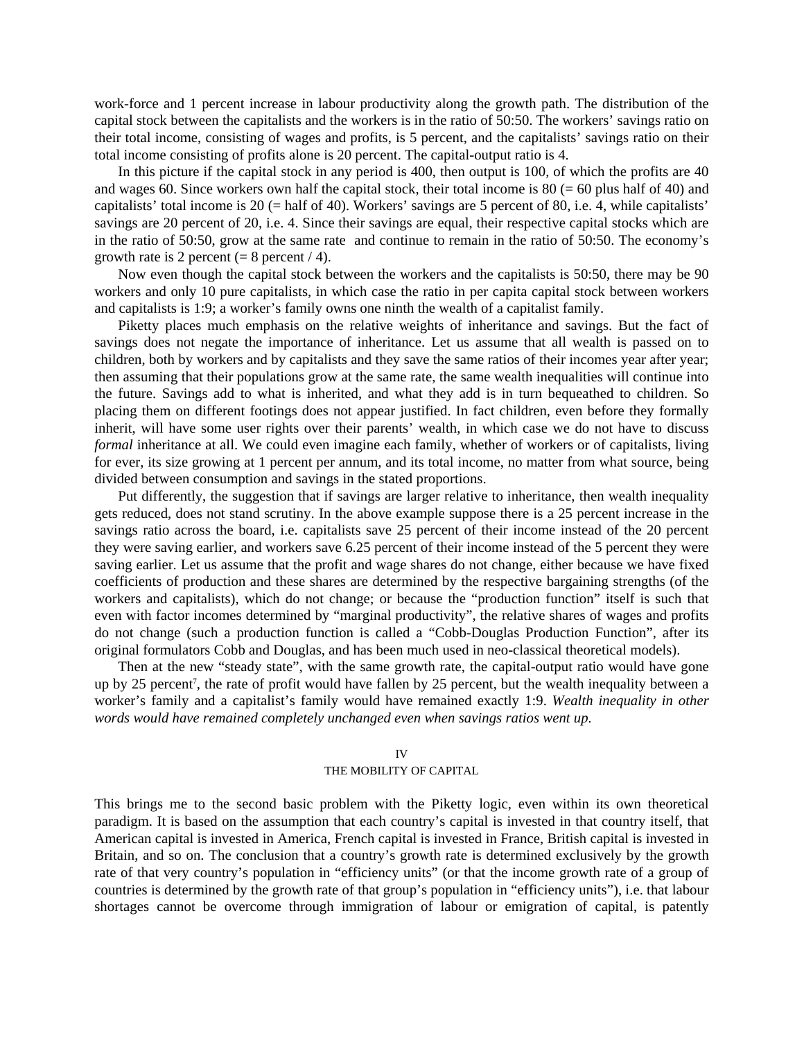work-force and 1 percent increase in labour productivity along the growth path. The distribution of the capital stock between the capitalists and the workers is in the ratio of 50:50. The workers' savings ratio on their total income, consisting of wages and profits, is 5 percent, and the capitalists' savings ratio on their total income consisting of profits alone is 20 percent. The capital-output ratio is 4.

In this picture if the capital stock in any period is 400, then output is 100, of which the profits are 40 and wages 60. Since workers own half the capital stock, their total income is  $80 (= 60$  plus half of 40) and capitalists' total income is 20 (= half of 40). Workers' savings are 5 percent of 80, i.e. 4, while capitalists' savings are 20 percent of 20, i.e. 4. Since their savings are equal, their respective capital stocks which are in the ratio of 50:50, grow at the same rate and continue to remain in the ratio of 50:50. The economy's growth rate is 2 percent  $(= 8$  percent  $/ 4$ ).

Now even though the capital stock between the workers and the capitalists is 50:50, there may be 90 workers and only 10 pure capitalists, in which case the ratio in per capita capital stock between workers and capitalists is 1:9; a worker's family owns one ninth the wealth of a capitalist family.

Piketty places much emphasis on the relative weights of inheritance and savings. But the fact of savings does not negate the importance of inheritance. Let us assume that all wealth is passed on to children, both by workers and by capitalists and they save the same ratios of their incomes year after year; then assuming that their populations grow at the same rate, the same wealth inequalities will continue into the future. Savings add to what is inherited, and what they add is in turn bequeathed to children. So placing them on different footings does not appear justified. In fact children, even before they formally inherit, will have some user rights over their parents' wealth, in which case we do not have to discuss *formal* inheritance at all. We could even imagine each family, whether of workers or of capitalists, living for ever, its size growing at 1 percent per annum, and its total income, no matter from what source, being divided between consumption and savings in the stated proportions.

Put differently, the suggestion that if savings are larger relative to inheritance, then wealth inequality gets reduced, does not stand scrutiny. In the above example suppose there is a 25 percent increase in the savings ratio across the board, i.e. capitalists save 25 percent of their income instead of the 20 percent they were saving earlier, and workers save 6.25 percent of their income instead of the 5 percent they were saving earlier. Let us assume that the profit and wage shares do not change, either because we have fixed coefficients of production and these shares are determined by the respective bargaining strengths (of the workers and capitalists), which do not change; or because the "production function" itself is such that even with factor incomes determined by "marginal productivity", the relative shares of wages and profits do not change (such a production function is called a "Cobb-Douglas Production Function", after its original formulators Cobb and Douglas, and has been much used in neo-classical theoretical models).

Then at the new "steady state", with the same growth rate, the capital-output ratio would have gone up by 25 percent<sup>7</sup>, the rate of profit would have fallen by 25 percent, but the wealth inequality between a worker's family and a capitalist's family would have remained exactly 1:9. *Wealth inequality in other words would have remained completely unchanged even when savings ratios went up.* 

## IV

#### THE MOBILITY OF CAPITAL

This brings me to the second basic problem with the Piketty logic, even within its own theoretical paradigm. It is based on the assumption that each country's capital is invested in that country itself, that American capital is invested in America, French capital is invested in France, British capital is invested in Britain, and so on. The conclusion that a country's growth rate is determined exclusively by the growth rate of that very country's population in "efficiency units" (or that the income growth rate of a group of countries is determined by the growth rate of that group's population in "efficiency units"), i.e. that labour shortages cannot be overcome through immigration of labour or emigration of capital, is patently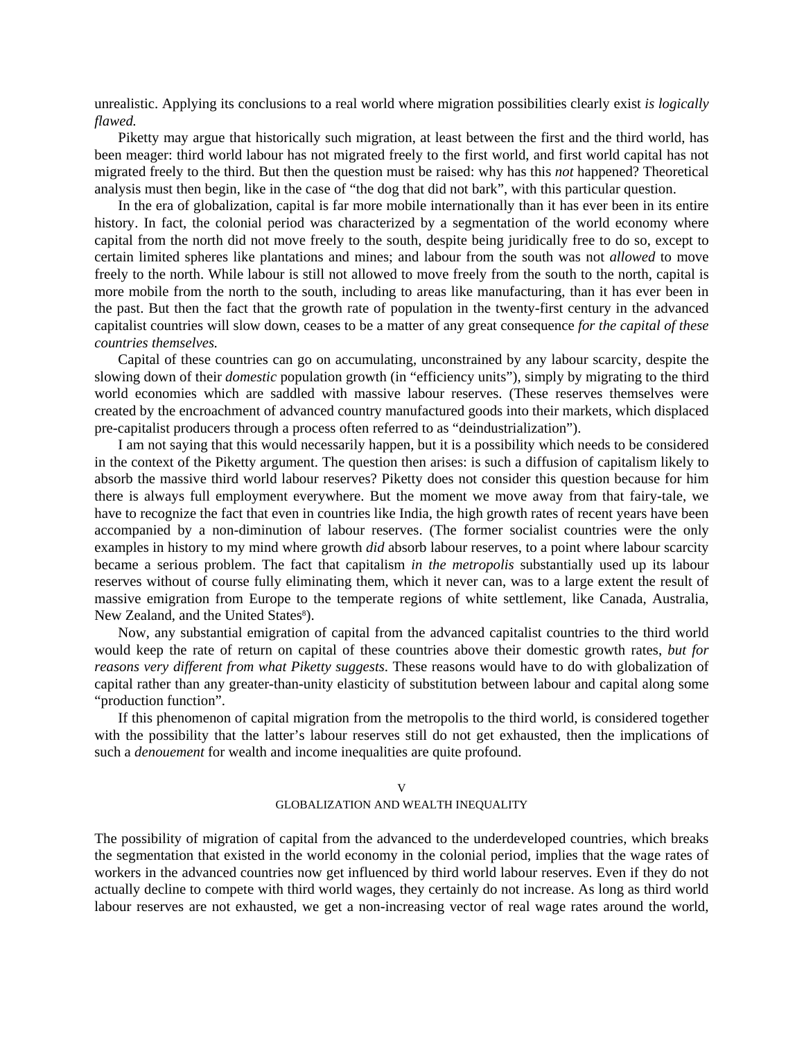unrealistic. Applying its conclusions to a real world where migration possibilities clearly exist *is logically flawed.*

Piketty may argue that historically such migration, at least between the first and the third world, has been meager: third world labour has not migrated freely to the first world, and first world capital has not migrated freely to the third. But then the question must be raised: why has this *not* happened? Theoretical analysis must then begin, like in the case of "the dog that did not bark", with this particular question.

In the era of globalization, capital is far more mobile internationally than it has ever been in its entire history. In fact, the colonial period was characterized by a segmentation of the world economy where capital from the north did not move freely to the south, despite being juridically free to do so, except to certain limited spheres like plantations and mines; and labour from the south was not *allowed* to move freely to the north. While labour is still not allowed to move freely from the south to the north, capital is more mobile from the north to the south, including to areas like manufacturing, than it has ever been in the past. But then the fact that the growth rate of population in the twenty-first century in the advanced capitalist countries will slow down, ceases to be a matter of any great consequence *for the capital of these countries themselves.*

Capital of these countries can go on accumulating, unconstrained by any labour scarcity, despite the slowing down of their *domestic* population growth (in "efficiency units"), simply by migrating to the third world economies which are saddled with massive labour reserves. (These reserves themselves were created by the encroachment of advanced country manufactured goods into their markets, which displaced pre-capitalist producers through a process often referred to as "deindustrialization").

I am not saying that this would necessarily happen, but it is a possibility which needs to be considered in the context of the Piketty argument. The question then arises: is such a diffusion of capitalism likely to absorb the massive third world labour reserves? Piketty does not consider this question because for him there is always full employment everywhere. But the moment we move away from that fairy-tale, we have to recognize the fact that even in countries like India, the high growth rates of recent years have been accompanied by a non-diminution of labour reserves. (The former socialist countries were the only examples in history to my mind where growth *did* absorb labour reserves, to a point where labour scarcity became a serious problem. The fact that capitalism *in the metropolis* substantially used up its labour reserves without of course fully eliminating them, which it never can, was to a large extent the result of massive emigration from Europe to the temperate regions of white settlement, like Canada, Australia, New Zealand, and the United States<sup>8</sup>).

Now, any substantial emigration of capital from the advanced capitalist countries to the third world would keep the rate of return on capital of these countries above their domestic growth rates, *but for reasons very different from what Piketty suggests*. These reasons would have to do with globalization of capital rather than any greater-than-unity elasticity of substitution between labour and capital along some "production function".

If this phenomenon of capital migration from the metropolis to the third world, is considered together with the possibility that the latter's labour reserves still do not get exhausted, then the implications of such a *denouement* for wealth and income inequalities are quite profound.

# V

#### GLOBALIZATION AND WEALTH INEQUALITY

The possibility of migration of capital from the advanced to the underdeveloped countries, which breaks the segmentation that existed in the world economy in the colonial period, implies that the wage rates of workers in the advanced countries now get influenced by third world labour reserves. Even if they do not actually decline to compete with third world wages, they certainly do not increase. As long as third world labour reserves are not exhausted, we get a non-increasing vector of real wage rates around the world,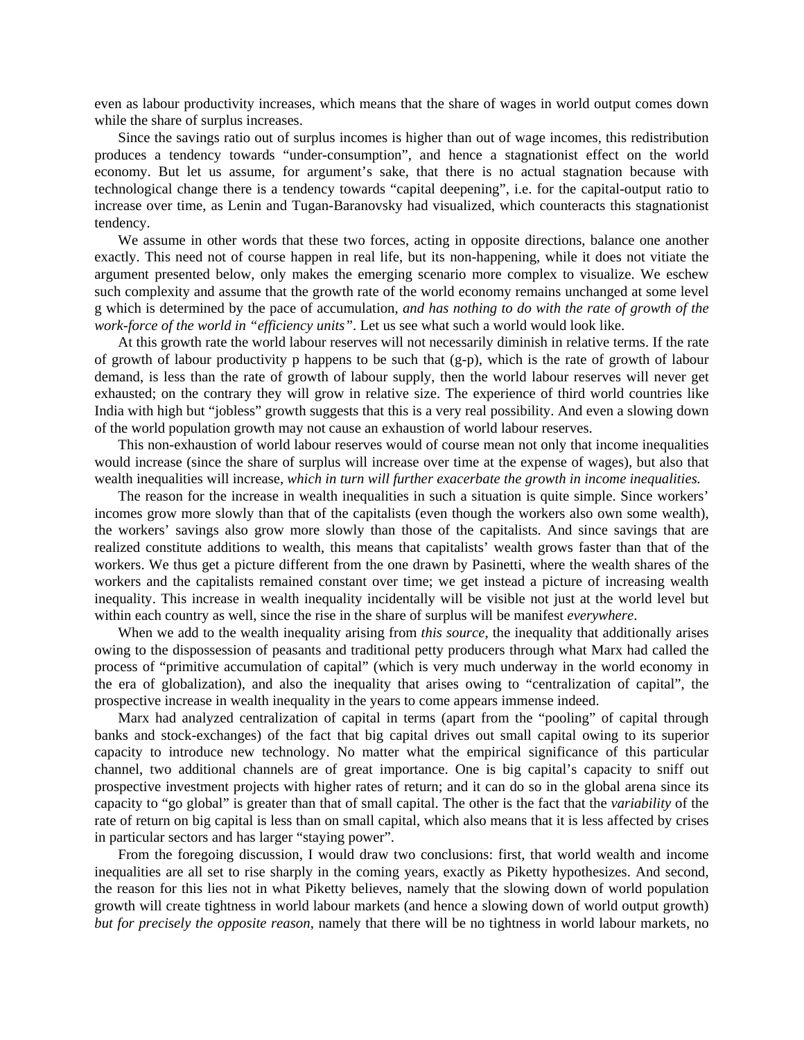even as labour productivity increases, which means that the share of wages in world output comes down while the share of surplus increases.

Since the savings ratio out of surplus incomes is higher than out of wage incomes, this redistribution produces a tendency towards "under-consumption", and hence a stagnationist effect on the world economy. But let us assume, for argument's sake, that there is no actual stagnation because with technological change there is a tendency towards "capital deepening", i.e. for the capital-output ratio to increase over time, as Lenin and Tugan-Baranovsky had visualized, which counteracts this stagnationist tendency.

We assume in other words that these two forces, acting in opposite directions, balance one another exactly. This need not of course happen in real life, but its non-happening, while it does not vitiate the argument presented below, only makes the emerging scenario more complex to visualize. We eschew such complexity and assume that the growth rate of the world economy remains unchanged at some level g which is determined by the pace of accumulation, *and has nothing to do with the rate of growth of the work-force of the world in "efficiency units"*. Let us see what such a world would look like.

At this growth rate the world labour reserves will not necessarily diminish in relative terms. If the rate of growth of labour productivity p happens to be such that (g-p), which is the rate of growth of labour demand, is less than the rate of growth of labour supply, then the world labour reserves will never get exhausted; on the contrary they will grow in relative size. The experience of third world countries like India with high but "jobless" growth suggests that this is a very real possibility. And even a slowing down of the world population growth may not cause an exhaustion of world labour reserves.

This non-exhaustion of world labour reserves would of course mean not only that income inequalities would increase (since the share of surplus will increase over time at the expense of wages), but also that wealth inequalities will increase, *which in turn will further exacerbate the growth in income inequalities.*

The reason for the increase in wealth inequalities in such a situation is quite simple. Since workers' incomes grow more slowly than that of the capitalists (even though the workers also own some wealth), the workers' savings also grow more slowly than those of the capitalists. And since savings that are realized constitute additions to wealth, this means that capitalists' wealth grows faster than that of the workers. We thus get a picture different from the one drawn by Pasinetti, where the wealth shares of the workers and the capitalists remained constant over time; we get instead a picture of increasing wealth inequality. This increase in wealth inequality incidentally will be visible not just at the world level but within each country as well, since the rise in the share of surplus will be manifest *everywhere*.

When we add to the wealth inequality arising from *this source*, the inequality that additionally arises owing to the dispossession of peasants and traditional petty producers through what Marx had called the process of "primitive accumulation of capital" (which is very much underway in the world economy in the era of globalization), and also the inequality that arises owing to "centralization of capital", the prospective increase in wealth inequality in the years to come appears immense indeed.

Marx had analyzed centralization of capital in terms (apart from the "pooling" of capital through banks and stock-exchanges) of the fact that big capital drives out small capital owing to its superior capacity to introduce new technology. No matter what the empirical significance of this particular channel, two additional channels are of great importance. One is big capital's capacity to sniff out prospective investment projects with higher rates of return; and it can do so in the global arena since its capacity to "go global" is greater than that of small capital. The other is the fact that the *variability* of the rate of return on big capital is less than on small capital, which also means that it is less affected by crises in particular sectors and has larger "staying power".

From the foregoing discussion, I would draw two conclusions: first, that world wealth and income inequalities are all set to rise sharply in the coming years, exactly as Piketty hypothesizes. And second, the reason for this lies not in what Piketty believes, namely that the slowing down of world population growth will create tightness in world labour markets (and hence a slowing down of world output growth) *but for precisely the opposite reason*, namely that there will be no tightness in world labour markets, no